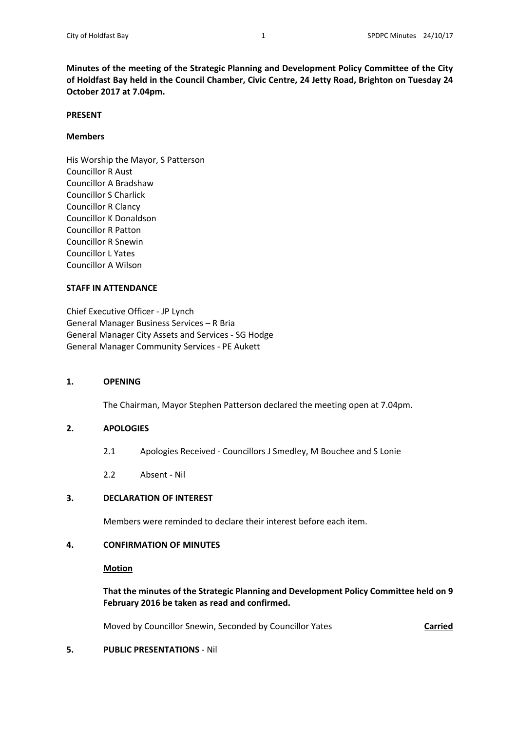**Minutes of the meeting of the Strategic Planning and Development Policy Committee of the City of Holdfast Bay held in the Council Chamber, Civic Centre, 24 Jetty Road, Brighton on Tuesday 24 October 2017 at 7.04pm.** 

#### **PRESENT**

### **Members**

His Worship the Mayor, S Patterson Councillor R Aust Councillor A Bradshaw Councillor S Charlick Councillor R Clancy Councillor K Donaldson Councillor R Patton Councillor R Snewin Councillor L Yates Councillor A Wilson

#### **STAFF IN ATTENDANCE**

Chief Executive Officer ‐ JP Lynch General Manager Business Services – R Bria General Manager City Assets and Services ‐ SG Hodge General Manager Community Services ‐ PE Aukett

## **1. OPENING**

The Chairman, Mayor Stephen Patterson declared the meeting open at 7.04pm.

## **2. APOLOGIES**

- 2.1 Apologies Received Councillors J Smedley, M Bouchee and S Lonie
- 2.2 Absent ‐ Nil

# **3. DECLARATION OF INTEREST**

Members were reminded to declare their interest before each item.

## **4. CONFIRMATION OF MINUTES**

#### **Motion**

 **That the minutes of the Strategic Planning and Development Policy Committee held on 9 February 2016 be taken as read and confirmed.** 

Moved by Councillor Snewin, Seconded by Councillor Yates **Carried** 

## **5. PUBLIC PRESENTATIONS** ‐ Nil